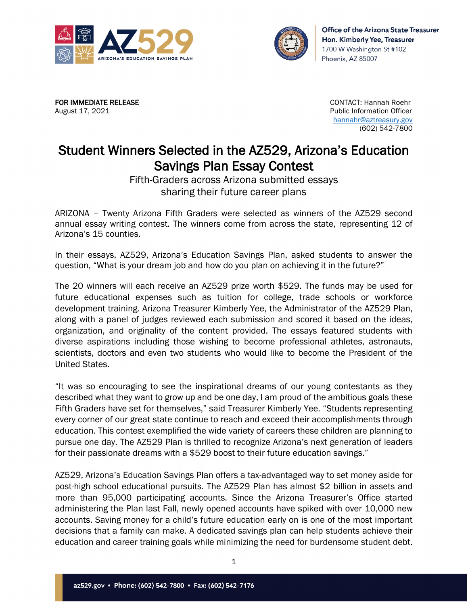



FOR IMMEDIATE RELEASE CONTACT: Hannah Roehr August 17, 2021 **Public Information Officer** Public Information Officer

 [hannahr@aztreasury.gov](mailto:hannahr@aztreasury.gov) (602) 542-7800

## Student Winners Selected in the AZ529, Arizona's Education Savings Plan Essay Contest

Fifth-Graders across Arizona submitted essays sharing their future career plans

ARIZONA – Twenty Arizona Fifth Graders were selected as winners of the AZ529 second annual essay writing contest. The winners come from across the state, representing 12 of Arizona's 15 counties.

In their essays, AZ529, Arizona's Education Savings Plan, asked students to answer the question, "What is your dream job and how do you plan on achieving it in the future?"

The 20 winners will each receive an AZ529 prize worth \$529. The funds may be used for future educational expenses such as tuition for college, trade schools or workforce development training. Arizona Treasurer Kimberly Yee, the Administrator of the AZ529 Plan, along with a panel of judges reviewed each submission and scored it based on the ideas, organization, and originality of the content provided. The essays featured students with diverse aspirations including those wishing to become professional athletes, astronauts, scientists, doctors and even two students who would like to become the President of the United States.

"It was so encouraging to see the inspirational dreams of our young contestants as they described what they want to grow up and be one day, I am proud of the ambitious goals these Fifth Graders have set for themselves," said Treasurer Kimberly Yee. "Students representing every corner of our great state continue to reach and exceed their accomplishments through education. This contest exemplified the wide variety of careers these children are planning to pursue one day. The AZ529 Plan is thrilled to recognize Arizona's next generation of leaders for their passionate dreams with a \$529 boost to their future education savings."

AZ529, Arizona's Education Savings Plan offers a tax-advantaged way to set money aside for post-high school educational pursuits. The AZ529 Plan has almost \$2 billion in assets and more than 95,000 participating accounts. Since the Arizona Treasurer's Office started administering the Plan last Fall, newly opened accounts have spiked with over 10,000 new accounts. Saving money for a child's future education early on is one of the most important decisions that a family can make. A dedicated savings plan can help students achieve their education and career training goals while minimizing the need for burdensome student debt.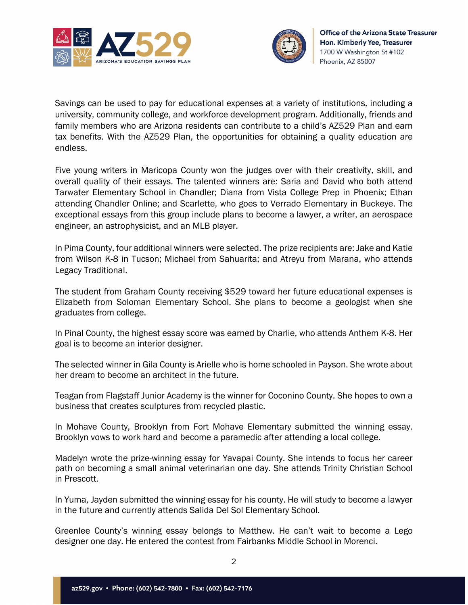



Savings can be used to pay for educational expenses at a variety of institutions, including a university, community college, and workforce development program. Additionally, friends and family members who are Arizona residents can contribute to a child's AZ529 Plan and earn tax benefits. With the AZ529 Plan, the opportunities for obtaining a quality education are endless.

Five young writers in Maricopa County won the judges over with their creativity, skill, and overall quality of their essays. The talented winners are: Saria and David who both attend Tarwater Elementary School in Chandler; Diana from Vista College Prep in Phoenix; Ethan attending Chandler Online; and Scarlette, who goes to Verrado Elementary in Buckeye. The exceptional essays from this group include plans to become a lawyer, a writer, an aerospace engineer, an astrophysicist, and an MLB player.

In Pima County, four additional winners were selected. The prize recipients are: Jake and Katie from Wilson K-8 in Tucson; Michael from Sahuarita; and Atreyu from Marana, who attends Legacy Traditional.

The student from Graham County receiving \$529 toward her future educational expenses is Elizabeth from Soloman Elementary School. She plans to become a geologist when she graduates from college.

In Pinal County, the highest essay score was earned by Charlie, who attends Anthem K-8. Her goal is to become an interior designer.

The selected winner in Gila County is Arielle who is home schooled in Payson. She wrote about her dream to become an architect in the future.

Teagan from Flagstaff Junior Academy is the winner for Coconino County. She hopes to own a business that creates sculptures from recycled plastic.

In Mohave County, Brooklyn from Fort Mohave Elementary submitted the winning essay. Brooklyn vows to work hard and become a paramedic after attending a local college.

Madelyn wrote the prize-winning essay for Yavapai County. She intends to focus her career path on becoming a small animal veterinarian one day. She attends Trinity Christian School in Prescott.

In Yuma, Jayden submitted the winning essay for his county. He will study to become a lawyer in the future and currently attends Salida Del Sol Elementary School.

Greenlee County's winning essay belongs to Matthew. He can't wait to become a Lego designer one day. He entered the contest from Fairbanks Middle School in Morenci.